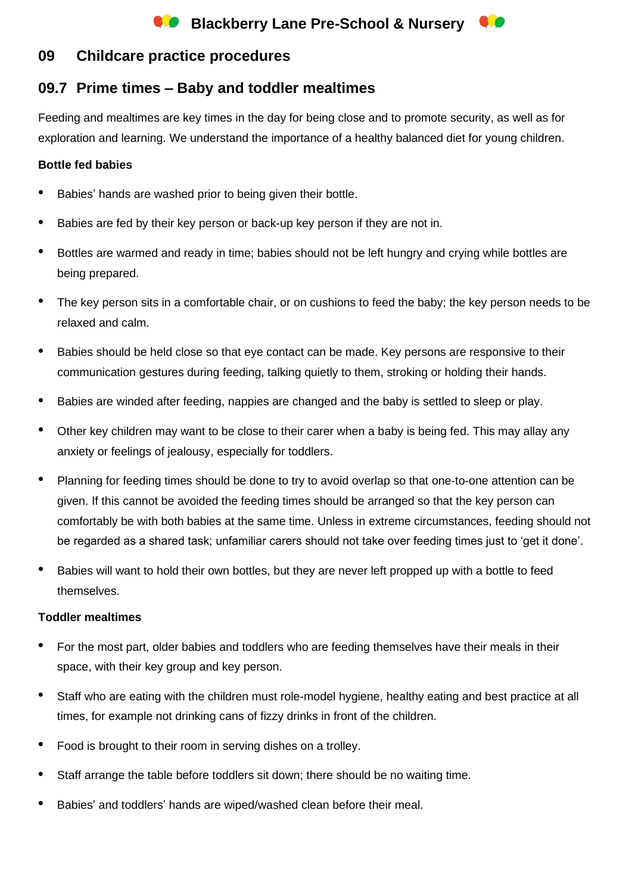# **Blackberry Lane Pre-School & Nursery**

## **09 Childcare practice procedures**

## **09.7 Prime times – Baby and toddler mealtimes**

Feeding and mealtimes are key times in the day for being close and to promote security, as well as for exploration and learning. We understand the importance of a healthy balanced diet for young children.

#### **Bottle fed babies**

- Babies' hands are washed prior to being given their bottle.
- Babies are fed by their key person or back-up key person if they are not in.
- Bottles are warmed and ready in time; babies should not be left hungry and crying while bottles are being prepared.
- The key person sits in a comfortable chair, or on cushions to feed the baby; the key person needs to be relaxed and calm.
- Babies should be held close so that eye contact can be made. Key persons are responsive to their communication gestures during feeding, talking quietly to them, stroking or holding their hands.
- Babies are winded after feeding, nappies are changed and the baby is settled to sleep or play.
- Other key children may want to be close to their carer when a baby is being fed. This may allay any anxiety or feelings of jealousy, especially for toddlers.
- Planning for feeding times should be done to try to avoid overlap so that one-to-one attention can be given. If this cannot be avoided the feeding times should be arranged so that the key person can comfortably be with both babies at the same time. Unless in extreme circumstances, feeding should not be regarded as a shared task; unfamiliar carers should not take over feeding times just to 'get it done'.
- Babies will want to hold their own bottles, but they are never left propped up with a bottle to feed themselves.

#### **Toddler mealtimes**

- For the most part, older babies and toddlers who are feeding themselves have their meals in their space, with their key group and key person.
- Staff who are eating with the children must role-model hygiene, healthy eating and best practice at all times, for example not drinking cans of fizzy drinks in front of the children.
- Food is brought to their room in serving dishes on a trolley.
- Staff arrange the table before toddlers sit down; there should be no waiting time.
- Babies' and toddlers' hands are wiped/washed clean before their meal.